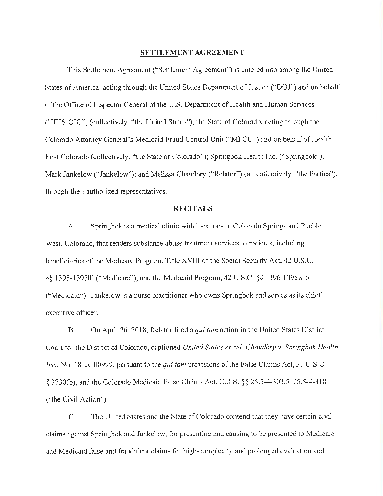#### **SETTLEMENT AGREEMENT**

This Settlement Agreement ("Settlement Agreement") is entered into among the United States of America, acting through the United States Department of Justice ("DOJ") and on behalf of the Office of Inspector General of the U.S. Department of Health and Human Services ("HHS-OIG") (collectively, "the United States"); the State of Colorado, acting through the Colorado Attorney General's Medicaid Fraud Control Unit ("MFCU") and on behalf of Health First Colorado (collectively, "the State of Colorado"); Springbok Health Inc. ("Springbok"); Mark Jankelow ("Jankelow"); and Melissa Chaudhry ("Relator") (all collectively, "the Parties"), through their authorized representatives.

#### **RECITALS**

A. Springbok is a medical clinic with locations in Colorado Springs and Pueblo West, Colorado, that renders substance abuse treatment services to patients, including beneficiaries of the Medicare Program, Title XVIII of the Social Security Act,  $42 \text{ U.S.C.}$ §§ 1395-1395111 ("Medicare"), and the Medicaid Program, 42 U.S.C. §§ 1396-1396w-5 ("Medicaid"). Jankelow is a nurse practitioner who owns Springbok and serves as its chief executive officer.

B. On April 26, 2018, Relator filed a *qui tam* action in the United States District Court for the District of Colorado, captioned *United States ex rel. Chaudhry v. Springbok Health Inc.*, No. 18-cv-00999, pursuant to the *qui tam* provisions of the False Claims Act, 31 U.S.C. § 3730(b), and the Colorado Medicaid False Claims Act, C.R.S. §§ 25.5-4-303.5-25.5-4-3 l 0 ("the Civil Action").

C. The United States and the State of Colorado contend that they have certain civil claims against Springbok and Jankelow, for presenting and causing to be presented to Medicare and Medicaid false and fraudulent claims for high-complexity and prolonged evaluation and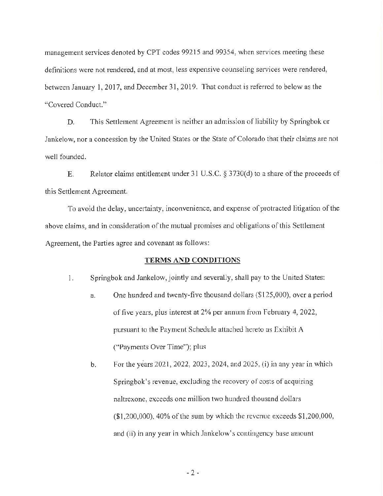management services denoted by CPT codes 99215 and 99354, when services meeting these definitions were not rendered, and at most, less expensive counseling services were rendered, between January 1, 2017, and December 31, 2019. That conduct is referred to below as the "Covered Conduct."

D. This Settlement Agreement is neither an admission of liability by Springbok or Jankelow, nor a concession by the United States or the State of Colorado that their claims are not well founded.

E. Relator claims entitlement under 31 U.S.C.  $\S 3730(d)$  to a share of the proceeds of this Settlement Agreement.

To avoid the delay, uncertainty, inconvenience, and expense of protracted litigation of the above claims, and in consideration of the mutual promises and obligations of this Settlement Agreement, the Parties agree and covenant as follows:

### **TERMS AND CONDITIONS**

- 1. Springbok and Jankelow, jointly and severally, shall pay to the United States:
	- a. One hundred and twenty-five thousand dollars (\$125,000), over a period of five years, plus interest at 2% per annum from February 4, 2022, pursuant to the Payment Schedule attached hereto as Exhibit A ("Payments Over Time"); plus
	- b. For the years 2021, 2022, 2023, 2024, and 2025, (i) in any year in which Springbok's revenue, excluding the recovery of costs of acquiring naltrexone, exceeds one million two hundred thousand dollars  $(1,200,000)$ , 40% of the sum by which the revenue exceeds  $$1,200,000$ , and (ii) in any year in which Jankelow's contingency base amount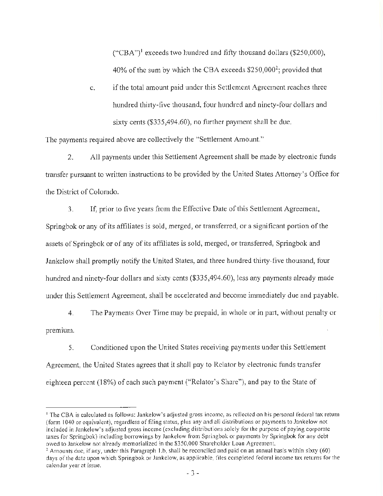("CBA")<sup>1</sup> exceeds two hundred and fifty thousand dollars (\$250,000), 40% of the sum by which the CBA exceeds  $$250,000^2$ ; provided that

c. ifthe total amount paid under this Settlement Agreement reaches three hundred thirty-five thousand, four hundred and ninety-four dollars and sixty cents (\$[335,494.60\)](https://335,494.60), no further payment shall be due.

The payments required above are collectively the "Settlement Amount."

2. All payments under this Settlement Agreement shall be made by electronic funds transfer pursuant to written instructions to be provided by the United States Attorney's Office for the District of Colorado.

3. If, prior to five years from the Effective Date ofthis Settlement Agreement, Springbok or any of its affiliates is sold, merged, or transferred, or a significant portion of the assets of Springbok or of any of its affiliates is sold, merged, or transferred, Springbok and Jankclow shall promptly notify the United States, and three hundred thirty-five thousand, four hundred and ninety-four dollars and sixty cents (\$[335,494.60](https://335,494.60)), less any payments already made under this Settlement Agreement, shall be accelerated and become immediately due and payable.

4. The Payments Over Time may be prepaid, in whole or in part, without penalty or premium.

5. Conditioned upon the United States receiving payments under this Settlement Agreement, the United States agrees that it shall pay to Rclator by electronic funds transfer eighteen percent (18%) of each such payment ("Relator's Share"), and pay to the State of

<sup>&</sup>lt;sup>1</sup> The CBA is calculated as follows: Jankelow's adjusted gross income, as reflected on his personal federal tax return (form 1040 or equivalent), regardless of filing status, plus any and all distributions or payments to Jankelow not included in Jankelow's adjusted gross income (excluding distributions solely for lhe purpose of paying corpornte taxes for Springbok) including borrowings by Jankelow from Springbok or payments by Springbok for any debt owed to Jankelow not already memorialized in the \$350,000 Shareholder Loan Agreement.

 $2$  Amounts due, if any, under this Paragraph 1.b, shall be reconciled and paid on an annual basis within sixty (60) days ofthe date upon which Springbok or Jankelow, as applicable, files completed federal income tax returns for the calendar year at issue.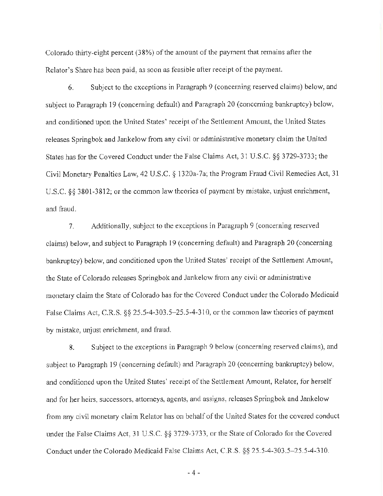Colorado thirty-eight percent  $(38%)$  of the amount of the payment that remains after the Relator's Share has been paid, as soon as feasible after receipt of the payment.

6. Subject to the exceptions in Paragraph 9 (concerning reserved claims) below, and subject to Paragraph 19 (concerning default) and Paragraph 20 (concerning bankruptcy) below, and conditioned upon the United States' receipt of the Settlement Amount, the United States releases Springbok and Jankelow from any civil or administrative monetary claim the United States has for the Covered Conduct under the False Claims Act, 31 U.S.C. §§ 3729-3733; the Civil Monetary Penalties Law, 42 U .S.C. § l 320a-7a; the Program Fraud Civil Remedies Act, 31 U.S.C. §§ 3801-3812; or the common law theories of payment by mistake, unjust enrichment, and fraud.

7. Additionally, subject to the exceptions in Paragraph 9 ( concerning reserved claims) below, and subject to Paragraph 19 ( concerning default) and Paragraph 20 ( concerning bankruptcy) below, and conditioned upon the United States' receipt of the Settlement Amount, the State of Colorado releases Springbok and Jankelow from any civil or administrative monetary claim the State of Colorado has for the Covered Conduct under the Colorado Medicaid False Claims Act, C.R.S.  $\S$   $\S$  25.5-4-303.5–25.5-4-310, or the common law theories of payment by mistake, unjust enrichment, and fraud.

8. Subject to the exceptions in Paragraph 9 below (concerning reserved claims), and subject to Paragraph 19 (concerning default) and Paragraph 20 (concerning bankruptcy) below, and conditioned upon the United States' receipt of the Settlement Amount, Relator, for herself and for her heirs, successors, attorneys, agents, and assigns, releases Springbok and Jankelow from any civil monetary claim Relator has on behalf of the United States for the covered conduct under the False Claims Act, 31 U.S.C. §§ 3729-3733, or the State of Colorado for the Covered Conduct under the Colorado Medicaid False Claims Act, C.R.S. §§ 25.5-4-303.5-25.5-4-310.

- 4 -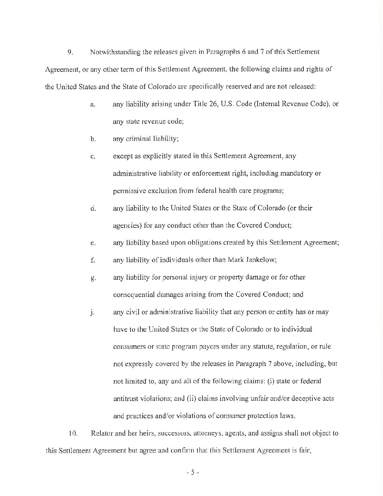9. Notwithstanding the releases given in Paragraphs 6 and 7 ofthis Settlement Agreement, or any other term of this Settlement Agreement, the following claims and rights of the United States and the State of Colorado are specifically reserved and are not released:

- a. any liability arising under Title 26, U.S. Code (Internal Revenue Code), or any state revenue code;
- b. any criminal liability;
- c. except as explicitly stated in this Settlement Agreement, any administrative liability or enforcement right, including mandatory or permissive exclusion from federal health care programs;
- d. any liability to the United States or the State of Colorado (or their agencies) for any conduct other than the Covered Conduct;
- e. any liability based upon obligations created by this Settlement Agreement;
- f. any liability of individuals other than Mark Jankelow;
- g. any liability for personal injury or property damage or for other consequential damages arising from the Covered Conduct; and
- j. any civil or administrative liability that any person or entity has or may have to the United States or the State of Colorado or to individual consumers or state program payors under any statute, regulation, or rule not expressly covered by the releases in Paragraph 7 above, including, but not limited to, any and all of the following claims: (i) state or federal antitrust violations; and (ii) claims involving unfair and/or deceptive acts and practices and/or violations of consumer protection laws.

10. Relator and her heirs, successors, attorneys, agents, and assigns shall not object to this Settlement Agreement but agree and confirm that this Settlement Agreement is fair,

 $-5 -$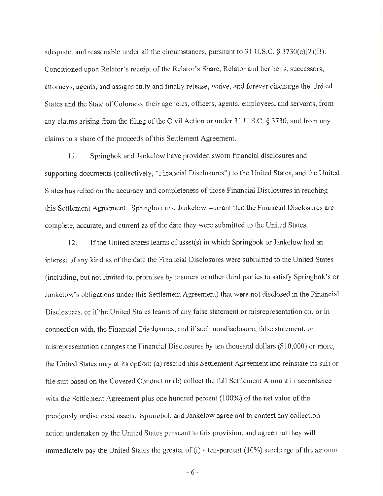adequate, and reasonable under all the circumstances, pursuant to 31 U.S.C. § 3730(c)(2)(B). Conditioned upon Relator's receipt of the Relator's Share, Relator and her heirs, successors, attorneys, agents, and assigns fully and finally release, waive, and forever discharge the United States and the State of Colorado, their agencies, officers, agents, employees, and servants, from any claims arising from the filing of the Civil Action or under 31 U.S.C.  $\S$  3730, and from any claims to a share of the proceeds of this Settlement Agreement.

11. Springbok and Jankelow have provided sworn financial disclosures and supporting documents (collectively, "Financial Disclosures") to the United States, and the United States has relied on the accuracy and completeness of those Financial Disclosures in reaching this Settlement Agreement. Springbok and Jankelow warrant that the Financial Disclosures are complete, accurate, and current as of the date they were submitted to the United States.

12. Ifthe United States learns of asset(s) in which Springbok or Jankelow had an interest of any kind as of the date the Financial Disclosures were submitted to the United States (including, but not limited to, promises by insurers or other third parties to satisfy Springbok's or Jankelow's obligations under this Settlement Agreement) that were not disclosed in the Financial Disclosures, or if the United States learns of any false statement or misrepresentation on, or in connection with, the Financial Disclosures, and if such nondisclosure, false statement, or misrepresentation changes the Financial Disclosures by ten thousand dollars (\$10,000) or more, the United States may at its option: (a) rescind this Settlement Agreement and reinstate its suit or file suit based on the Covered Conduct or (b) collect the full Settlement Amount in accordance with the Settlement Agreement plus one hundred percent  $(100\%)$  of the net value of the previously undisclosed assets. Springbok and Jankelow agree not to contest any collection action undertaken by the United States pursuant to this provision, and agree that they will immediately pay the United States the greater of  $(i)$  a ten-percent  $(10\%)$  surcharge of the amount

- 6 -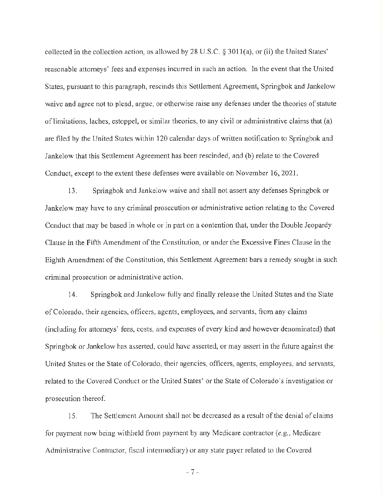collected in the collection action, as allowed by 28 U.S.C. § 301 l(a), or (ii) the United States' reasonable attorneys' fees and expenses incurred in such an action. In the event that the United States, pursuant to this paragraph, rescinds this Settlement Agreement, Springbok and Jankelow waive and agree not to plead, argue, or otherwise raise any defenses under the theories of statute of limitations, laches, estoppel, or similar theories, to any civil or administrative claims that (a) are filed by the United States within 120 calendar days of written notification to Springbok and Jankelow that this Settlement Agreement has been rescinded, and (b) relate to the Covered Conduct, except to the extent these defenses were available on November 16, 2021.

13. Springbok and Jankelow waive and shall not assert any defenses Springbok or Jankelow may have to any criminal prosecution or administrative action relating to the Covered Conduct that may be based in whole or in part on a contention that, under the Double Jeopardy Clause in the Fifth Amendment of the Constitution, or under the Excessive Fines Clause in the Eighth Amendment of the Constitution, this Settlement Agreement bars a remedy sought in such criminal prosecution or administrative action.

14. Springbok and Jankelow fully and finally release the United States and the State ofColorado, their agencies, officers, agents, employees, and servants, from any claims (including for attorneys' fees, costs, and expenses of every kind and however denominated) that Springbok or Jankelow has asserted, could have asserted, or may assert in the future against the United States or the State of Colorado, their agencies, officers, agents, employees, and servants, related to the Covered Conduct or the United States' or the State of Colorado's investigation or prosecution thereof

15. The Settlement Amount shall not be decreased as a result ofthe denial of claims for payment now being withheld from payment by any Medicare contractor *(e.g.,* Medicare Administrative Contractor, fiscal intermediary) or any state payer related to the Covered

- 7 -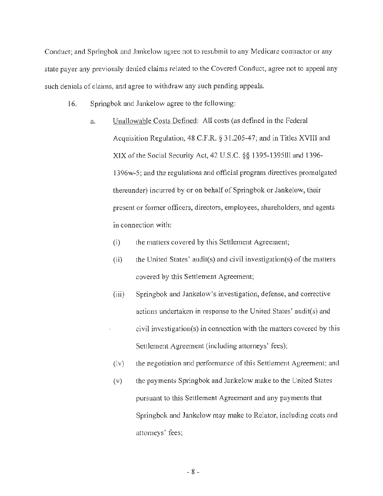Conduct; and Springbok and Jankelow agree not to resubmit to any Medicare contractor or any state payer any previously denied claims related to the Covered Conduct, agree not to appeal any such denials of claims, and agree to withdraw any such pending appeals.

- 16. Springbok and Jankelow agree to the following:
	- a. Unallowable Costs Defined: All costs (as defined in the Federal Acquisition Regulation, 48 C.F.R. § 31.205-47; and in Titles XVIII and XIX ofthe Social Security Act, 42 U.S.C. §§ 1395-1395lll and 1396- 1396w-5; and the regulations and official program directives promulgated thereunder) incurred by or on behalf of Springbok or Jankelow, their present or former officers, directors, employees, shareholders, and agents in connection with:
		- (i) the matters covered by this Settlement Agreement;
		- (ii) the United States' audit(s) and civil investigation(s) of the matters covered by this Settlement Agreement;
		- (iii) Springbok and Jankelow's investigation, defense, and corrective actions undertaken in response to the United States' audit(s) and civil investigation(s) in connection with the matters covered by this Settlement Agreement (including attorneys' fees);
		- (iv) the negotiation and performance ofthis Settlement Agreement; and
		- (v) the payments Springbok and Jankelow make to the United States pursuant to this Settlement Agreement and any payments that Springbok and Jankelow may make to Relator, including costs and attorneys' fees;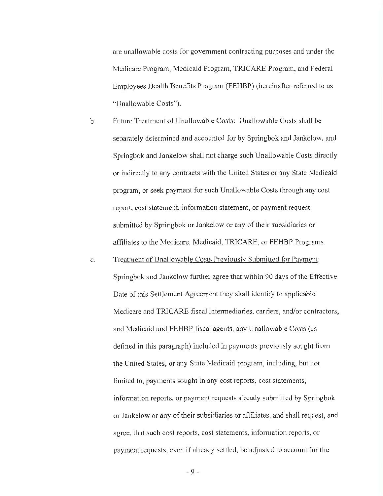are unallowable costs for government contracting purposes and under the Medicare Program, Medicaid Program, TRICARE Program, and Federal Employees Health Benefits Program (FEHBP) (hereinafter referred to as "Unallowable Costs").

- b. Future Treatment of Unallowable Costs: Unallowable Costs shall be separately determined and accounted for by Springbok and Jankelow, and Springbok and Jankelow shall not charge such Unallowable Costs directly or indirectly to any contracts with the United States or any State Medicaid program, or seek payment for such Unallowable Costs through any cost report, cost statement, information statement, or payment request submitted by Springbok or Jankelow or any of their subsidiaries or affiliates to the Medicare, Medicaid, TRICARE, or FEHBP Programs.
- c. Treatment of Unallowable Costs Previously Submitted for Payment: Springbok and Jankelow further agree that within 90 days of the Effective Date of this Settlement Agreement they shall identify to applicable Medicare and TRICARE fiscal intermediaries, carriers, and/or contractors, and Medicaid and FEHBP fiscal agents, any Unallowable Costs (as defined in this paragraph) included in payments previously sought from the United States, or any State Medicaid program, including, but not limited to, payments sought in any cost reports, cost statements, information reports, or payment requests already submitted by Springbok or Jankelow or any oftheir subsidiaries or affiliates, and shall request, and agree, that such cost reports, cost statements, information reports, or payment requests, even if already settled, be adjusted to account for the

- 9 -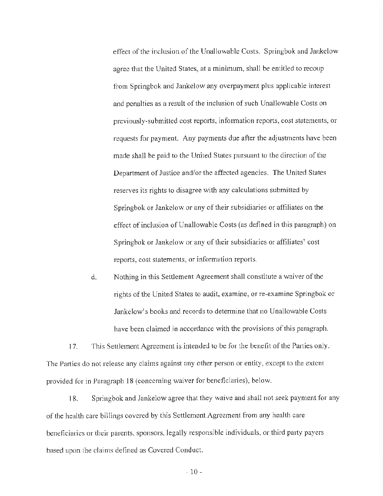effect of the inclusion of the Unallowable Costs. Springbok and Jankelow agree that the United States, at a minimum, shall be entitled to recoup from Springbok and Jankelow any overpayment plus applicable interest and penalties as a result of the inclusion of such Unallowable Costs on previously-submitted cost reports, information reports, cost statements, or requests for payment. Any payments due after the adjustments have been made shall be paid to the United States pursuant to the direction of the Department of Justice and/or the affected agencies. The United States reserves its rights to disagree with any calculations submitted by Springbok or Jankelow or any of their subsidiaries or affiliates on the effect of inclusion of Unallowable Costs (as defined in this paragraph) on Springbok or Jankelow or any of their subsidiaries or affiliates' cost reports, cost statements, or information reports.

d. Nothing in this Settlement Agreement shall constitute a waiver of the rights ofthe United States to audit, examine, or re-examine Springbok or Jankelow's books and records to determine that no Unallowable Costs have been claimed in accordance with the provisions of this paragraph.

17. This Settlement Agreement is intended to be for the benefit of the Parties only. The Parties do not release any claims against any other person or entity, except to the extent provided for in Paragraph 18 ( concerning waiver for beneficiaries), below.

18. Springbok and Jankelow agree that they waive and shall not seek payment for any of the health care billings covered by this Settlement Agreement from any health care beneficiaries or their parents, sponsors, legally responsible individuals, or third party payers based upon the claims defined as Covered Conduct.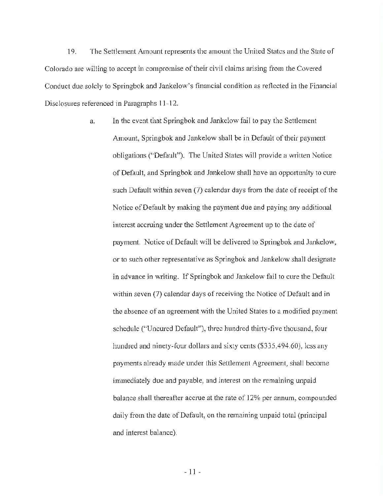19. The Settlement Amount represents the amount the United States and the Stnte of Colorado are willing to accept in compromise of their civil claims arising from the Covered Conduct due solely to Springbok and Jankelow's financial condition as reflected in the Financial Disclosures referenced in Paragraphs 11-12.

> a. In the event that Springbok and Jankelow fail to pay the Settlement Amount, Springbok and Jankelow shall be in Default of their payment obligations ("Default"). The United States will provide a written Notice ofDefault, and Springbok and Jankelow shall have an opportunity to cure such Default within seven (7) calendar days from the date of receipt of the Notice of Default by making the payment due and paying any additional interest accruing under the Settlement Agreement up to the date of payment. Notice of Default will be delivered to Springbok and Jankelow, or to such other representative as Springbok and Jankelow shall designate in advance in writing. If Springbok and Jankelow fail to cure the Default within seven (7) calendar days of receiving the Notice of Default and in the absence of an agreement with the United States to a modified payment schedule ("Uncured Default"), three hundred thirty-five thousand, four hundred and ninety-four dollars and sixty cents ([\\$335,494.60](https://335,494.60)), less any payments already made under this Settlement Agreement, shall become immediately due and payable, and interest on the remaining unpaid balance shall thereafter accrue at the rate of 12% per annum, compounded daily from the date of Default, on the remaining unpaid total (principal and interest balance).

> > - 11 -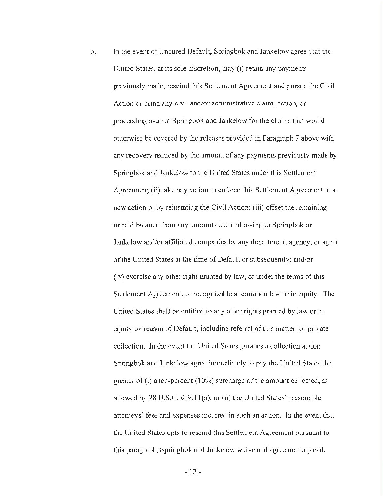b. In the event of Uncured Default, Springbok and Jankelow agree that the United States, at its sole discretion, may (i) retain any payments previously made, rescind this Settlement Agreement and pursue the Civil Action or bring any civil and/or administrative claim, action, or proceeding against Springbok and Jankelow for the claims that would otherwise be covered by the releases provided in Paragraph 7 above with any recovery reduced by the amount of any payments previously made by Springbok and Jankelow to the United States under this Settlement Agreement; (ii) take any action to enforce this Settlement Agreement in a new action or by reinstating the Civil Action; (iii) offset the remaining unpaid balance from any amounts due and owing to Springbok or Jankelow and/or affiliated companies by any department, agency, or agent of the United States at the time of Default or subsequently; and/or (iv) exercise any other right granted by law, or under the terms of this Settlement Agreement, or recognizable at common law or in equity. The United States shall be entitled to any other rights granted by law or in equity by reason of Default, including referral of this matter for private collection. In the event the United States pursues a collection action, Springbok and Jankelow agree immediately to pay the United States the greater of  $(i)$  a ten-percent  $(10\%)$  surcharge of the amount collected, as allowed by 28 U.S.C. § 3O1 l(a), or (ii) the United States' reasonable attorneys' fees and expenses incurred in such an action. In the event that the United States opts to rescind this Settlement Agreement pursuant to this paragraph, Springbok and Jankclow waive and agree not to plead,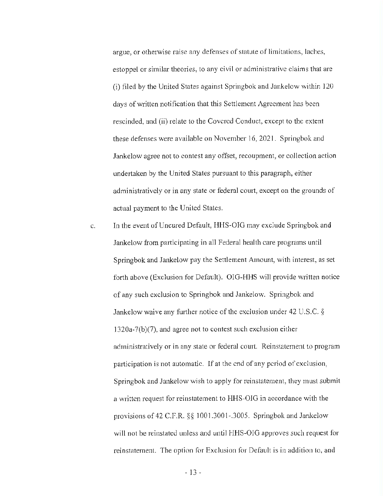argue, or otherwise raise any defenses of statute of limitations, laches, estoppel or similar theories, to any civil or administrative claims that are (i) filed by the United States against Springbok and Jankelow within 120 days of written notification that this Settlement Agreement has been rescinded, and (ii) relate to the Covered Conduct, except to the extent these defenses were available on November 16, 2021. Springbok and Jankelow agree not to contest any offset, recoupment, or collection action undertaken by the United States pursuant to this paragraph, either administratively or in any state or federal court, except on the grounds of actual payment to the United States.

c. In the event of Uncured Default, HHS-OIG may exclude Springbok and Jankelow from participating in all Federal health care programs until Springbok and Jankelow pay the Settlement Amount, with interest, as set forth above (Exclusion for Default). 010-HHS will provide written notice of any such exclusion to Springbok and Jankelow. Springbok and Jankelow waive any further notice of the exclusion under 42 U.S.C.  $\S$ l 320a-7(b)(7), and agree not to contest such exclusion either administratively or in any state or federal court. Reinstatement to program participation is not automatic. If at the end of any period of exclusion, Springbok and Jankelow wish to apply for reinstatement, they must submit a written request for reinstatement to HHS-OIG in accordance with the provisions of 42 C.F.R. §§ 1001 .3001-.3005. Springbok and Jankelow will not be reinstated unless and until HHS-OIG approves such request for reinstatement. The option for Exclusion for Default is in addition to, and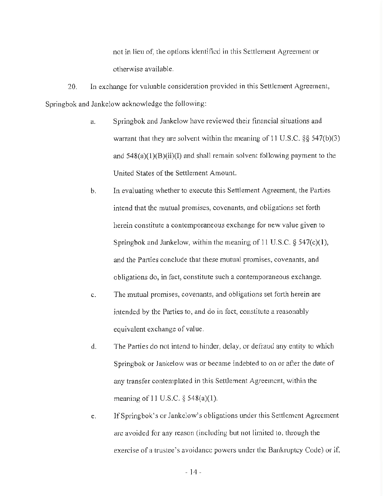not in lieu of, the options identified in this Settlement Agreement or otherwise available.

20. In exchange for valuable consideration provided in this Settlement Agreement, Springbok and Jankelow acknowledge the following:

- a. Springbok and Jankelow have reviewed their financial situations and warrant that they are solvent within the meaning of 11 U.S.C. §§ 547(b)(3) and  $548(a)(1)(B)(ii)(I)$  and shall remain solvent following payment to the United States of the Settlement Amount.
- b. In evaluating whether to execute this Settlement Agreement, the Parties intend that the mutual promises, covenants, and obligations set forth herein constitute a contemporaneous exchange for new value given to Springbok and Jankelow, within the meaning of 11 U.S.C.  $\S$  547(c)(1), and the Parties conclude that these mutual promises, covenants, and obligations do, in fact, constitute such a contemporaneous exchange.
- c. The mutual promises, covenants, and obligations set forth herein are intended by the Parties to, and do in fact, constitute a reasonably equivalent exchange of value.
- d. The Parties do not intend to hinder, delay, or defraud any entity to which Springbok or Jankelow was or became indebted to on or after the date of any transfer contemplated in this Settlement Agreement, within the meaning of 11 U.S.C.  $\S$  548(a)(1).
- e. lfSpringbok's or Jankelow's obligations under this Settlement Agreement arc avoided for any reason (including but not limited to, through the exercise of a trustee's avoidance powers under the Bankruptcy Code) or if,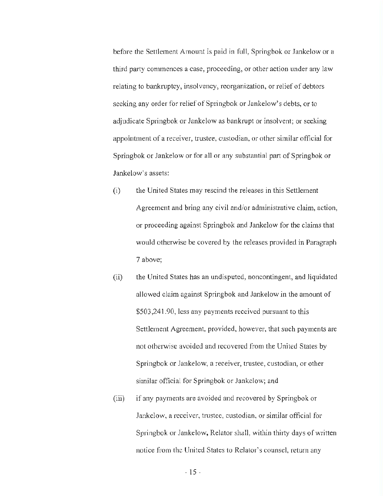before the Settlement Amount is paid in full, Springbok or Jankelow or a third party commences a case, proceeding, or other action under any law relating to bankruptcy, insolvency, reorganization, or relief of debtors seeking any order for relief of Springbok or Jankelow's debts, or to adjudicate Springbok or Jankelow as bankrupt or insolvent; or seeking appointment of a receiver, trustee, custodian, or other similar official for Springbok or Jankelow or for all or any substantial part of Springbok or Jankelow's assets:

- (i) the United States may rescind the releases in this Settlement Agreement and bring any civil and/or administrative claim, action, or proceeding against Springbok and Jankelow for the claims that would otherwise be covered by the releases provided in Paragraph 7 above;
- (ii) the United States has an undisputed, noncontingent, and liquidated allowed claim against Springbok and Jankelow in the amount of \$[503,241.90](https://503,241.90), less any payments received pursuant to this Settlement Agreement, provided, however, that such payments are not otherwise avoided and recovered from the United States by Springbok or Jankelow, a receiver, trustee, custodian, or other similar official for Springbok or Jankdow; and
- (iii) if any payments are avoided and recovered by Springbok or Jankelow, a receiver, trustee, custodian, or similar official for Springbok or Jankelow, Relator shall, within thirty days of written notice from the United States to Relator's counsel, return any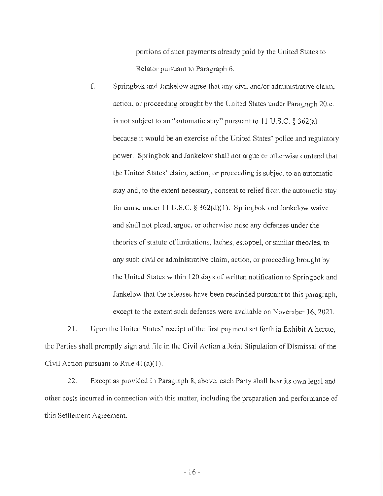portions of such payments already paid by the United States to Relator pursuant to Paragraph 6.

f. Springbok and Jankelow agree that any civil and/or administrative claim, action, or proceeding brought by the United States under Paragraph 20.e. is not subject to an "automatic stay" pursuant to 11 U.S.C.  $\S 362(a)$ because it would be an exercise of the United States' police and regulatory power. Springbok and Jankelow shall not argue or otherwise contend that the United States' claim, action, or proceeding is subject to an automatic stay and, to the extent necessary, consent to relief from the automatic stay for cause under 11 U.S.C. § 362(d)(1). Springbok and Jankelow waive and shall not plead, argue, or otherwise raise any defenses under the theories of statute of limitations, laches, estoppel, or similar theories, to any such civil or administrative claim, action, or proceeding brought by the United States within 120 days of written notification to Springbok and Jankelow that the releases have been rescinded pursuant to this paragraph, except to the extent such defenses were available on November 16, 2021.

21. Upon the United States' receipt of the first payment set forth in Exhibit A hereto, the Parties shall promptly sign and file in the Civil Action a Joint Stipulation of Dismissal of the Civil Action pursuant to Rule  $41(a)(1)$ .

22. Except as provided in Paragraph 8, above, each Party shall bear its own legal and other costs incurred in connection with this matter, including the preparation and performance of this Settlement Agreement.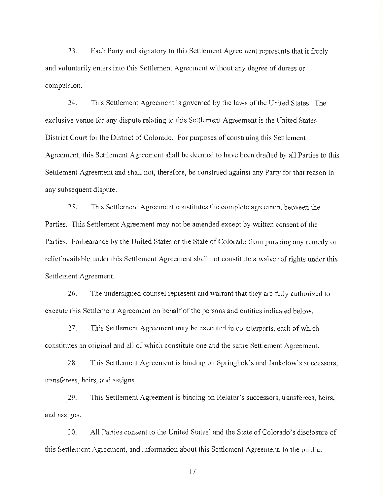23. Each Party and signatory to this Settlement Agreement represents that it freely and voluntarily enters into this Settlement Agreement without any degree of duress or compulsion.

24. This Settlement Agreement is governed by the laws ofthe United States. The exclusive venue for any dispute relating to this Settlement Agreement is the United States District Court for the District of Colorado. For purposes of construing this Settlement Agreement, this Settlement Agreement shall be deemed to have been drafted by all Parties to this Settlement Agreement and shall not, therefore, be construed against any Party for that reason in any subsequent dispute.

25. This Settlement Agreement constitutes the complete agreement between the Parties. This Settlement Agreement may not be amended except by written consent of the Parties. Forbearance by the United States or the State of Colorado from pursuing any remedy or relief available under this Settlement Agreement shall not constitute a waiver of rights under this Settlement Agreement.

26. The undersigned counsel represent and warrant that they are fully authorized to execute this Settlement Agreement on behalf of the persons and entities indicated below.

27. This Settlement Agreement may be executed in counterparts, each of which constitutes an original and all of which constitute one and the same Settlement Agreement.

28. This Settlement Agreement is binding on Springbok's and Jankelow's successors, transferees, heirs, and assigns.

29. This Settlement Agreement is binding on Relator's successors, transferees, heirs, and assigns.

30. All Parties consent to the United States' and the State ofColorado's disclosure of this Settlement Agreement, and information about this Settlement Agreement, to the public.

- 17 -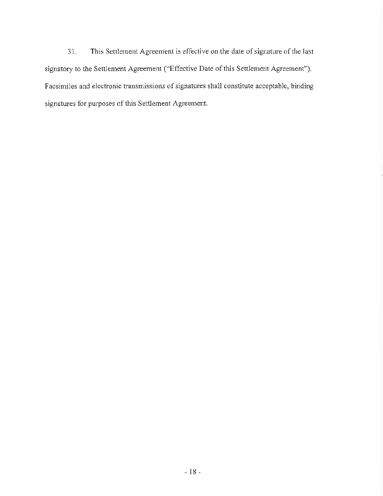31. This Settlement Agreement is effective on the date of signature of the last signatory to the Settlement Agreement ("Effective Date of this Settlement Agreement"). Facsimiles and electronic transmissions of signatures shall constitute acceptable, binding signatures for purposes of this Settlement Agreement.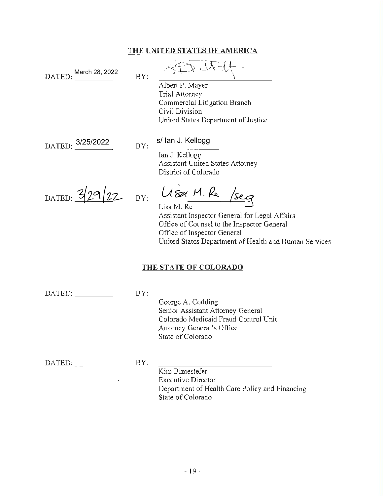## **THE UNITED STATES OF AMERICA**

| March 28, 2022<br>DATED:     | BY: | れんや 年<br>Albert P. Mayer<br><b>Trial Attorney</b><br>Commercial Litigation Branch<br>Civil Division<br>United States Department of Justice                                                                               |  |  |  |  |
|------------------------------|-----|--------------------------------------------------------------------------------------------------------------------------------------------------------------------------------------------------------------------------|--|--|--|--|
| DATED: 3/25/2022             | BY: | s/ lan J. Kellogg                                                                                                                                                                                                        |  |  |  |  |
|                              |     | Ian J. Kellogg<br><b>Assistant United States Attorney</b><br>District of Colorado                                                                                                                                        |  |  |  |  |
| DATED: $329/22$              |     | BY: LISA M. Re /seg<br>Lisa M. Re<br>Assistant Inspector General for Legal Affairs<br>Office of Counsel to the Inspector General<br>Office of Inspector General<br>United States Department of Health and Human Services |  |  |  |  |
| <u>THE STATE OF COLORADO</u> |     |                                                                                                                                                                                                                          |  |  |  |  |
| DATED:                       | BY: | Goorge A. Codding                                                                                                                                                                                                        |  |  |  |  |

George A. Codding Senior Assistant Attorney General Colorado Medicaid Fraud Control Unit Attorney General's Office State of Colorado

 $\text{DATA} : \underline{\qquad \qquad }$  BY:

 $\mathcal{L}^{\text{max}}_{\text{max}}$ 

 $\overline{\phantom{a}}$ Kim Bimestefer Executive Director Department of Health Care Policy and Financing State of Colorado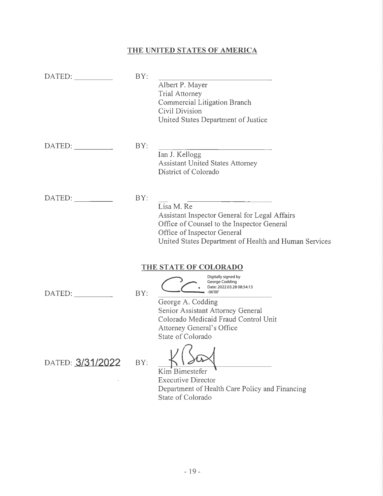# **THE UNITED STATES OF AMERICA**

| DATED:           | BY: | Albert P. Mayer<br>Trial Attorney<br>Commercial Litigation Branch<br>Civil Division<br>United States Department of Justice                                                                                                         |
|------------------|-----|------------------------------------------------------------------------------------------------------------------------------------------------------------------------------------------------------------------------------------|
| DATED:           | BY: | Ian J. Kellogg<br><b>Assistant United States Attorney</b><br>District of Colorado                                                                                                                                                  |
| DATED:           | BY: | Lisa M. Re<br>Assistant Inspector General for Legal Affairs<br>Office of Counsel to the Inspector General<br>Office of Inspector General<br>United States Department of Health and Human Services                                  |
|                  |     | THE STATE OF COLORADO                                                                                                                                                                                                              |
| DATED:           | BY: | Digitally signed by<br>George Codding<br>Date: 2022.03.28 08:54:13<br>$-06'00$<br>George A. Codding<br>Senior Assistant Attorney General<br>Colorado Medicaid Fraud Control Unit<br>Attorney General's Office<br>State of Colorado |
| DATED: 3/31/2022 | BY: | Kim Bimestefer<br><b>Executive Director</b><br>Department of Health Care Policy and Financing<br>State of Colorado                                                                                                                 |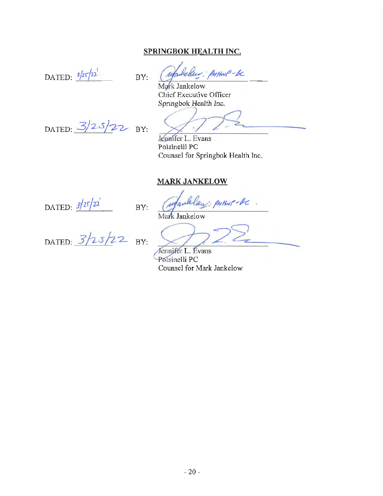## **SPRINGBOK HEALTH INC.**

DATED:  $\frac{3}{25}$ 

below: PHANP-BC BY:

Mark Jankelow Chief Executive Officer Springbok Health Inc.

DATED:  $3/25/22$  BY:

Jennifer L. Evans Polsinelli PC Counsel for Springbok Health Inc.

### **MARK JANKELOW**

DATED:  $3/25/22$ 

BY: *(meland: PHHNP-BC*. Mark Jankelow

DATED:  $3/25/22$  BY:

Jennifer L. Evans Polsinelli PC Counsel for Mark Jankelow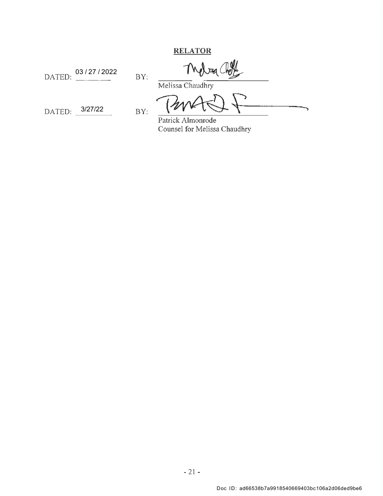**RELATOR** 

DATED:  $\frac{03/27/2022}{PY}$ 

Theleg (

 $DATAED:$   $\frac{3}{27/22}$  BY: 3/27/22

Melissa Chaudhry

Patrick Almonrode Counsel for Melissa Chaudhry